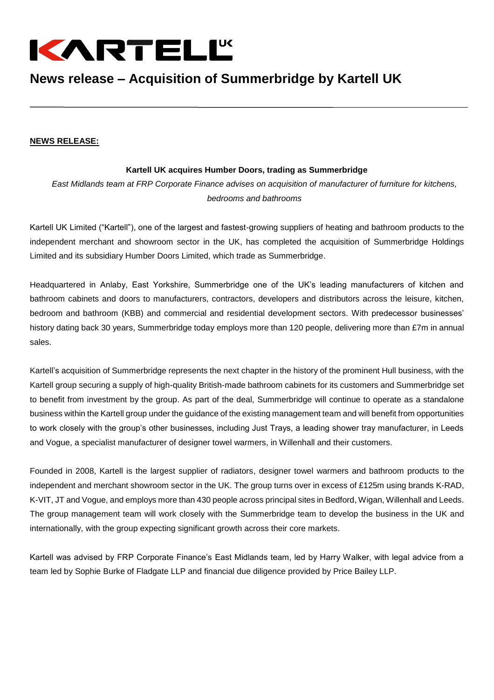

## **News release – Acquisition of Summerbridge by Kartell UK**

## **NEWS RELEASE:**

## **Kartell UK acquires Humber Doors, trading as Summerbridge**

*East Midlands team at FRP Corporate Finance advises on acquisition of manufacturer of furniture for kitchens, bedrooms and bathrooms*

Kartell UK Limited ("Kartell"), one of the largest and fastest-growing suppliers of heating and bathroom products to the independent merchant and showroom sector in the UK, has completed the acquisition of Summerbridge Holdings Limited and its subsidiary Humber Doors Limited, which trade as Summerbridge.

Headquartered in Anlaby, East Yorkshire, Summerbridge one of the UK's leading manufacturers of kitchen and bathroom cabinets and doors to manufacturers, contractors, developers and distributors across the leisure, kitchen, bedroom and bathroom (KBB) and commercial and residential development sectors. With predecessor businesses' history dating back 30 years, Summerbridge today employs more than 120 people, delivering more than £7m in annual sales.

Kartell's acquisition of Summerbridge represents the next chapter in the history of the prominent Hull business, with the Kartell group securing a supply of high-quality British-made bathroom cabinets for its customers and Summerbridge set to benefit from investment by the group. As part of the deal, Summerbridge will continue to operate as a standalone business within the Kartell group under the guidance of the existing management team and will benefit from opportunities to work closely with the group's other businesses, including Just Trays, a leading shower tray manufacturer, in Leeds and Vogue, a specialist manufacturer of designer towel warmers, in Willenhall and their customers.

Founded in 2008, Kartell is the largest supplier of radiators, designer towel warmers and bathroom products to the independent and merchant showroom sector in the UK. The group turns over in excess of £125m using brands K-RAD, K-VIT, JT and Vogue, and employs more than 430 people across principal sites in Bedford, Wigan, Willenhall and Leeds. The group management team will work closely with the Summerbridge team to develop the business in the UK and internationally, with the group expecting significant growth across their core markets.

Kartell was advised by FRP Corporate Finance's East Midlands team, led by Harry Walker, with legal advice from a team led by Sophie Burke of Fladgate LLP and financial due diligence provided by Price Bailey LLP.